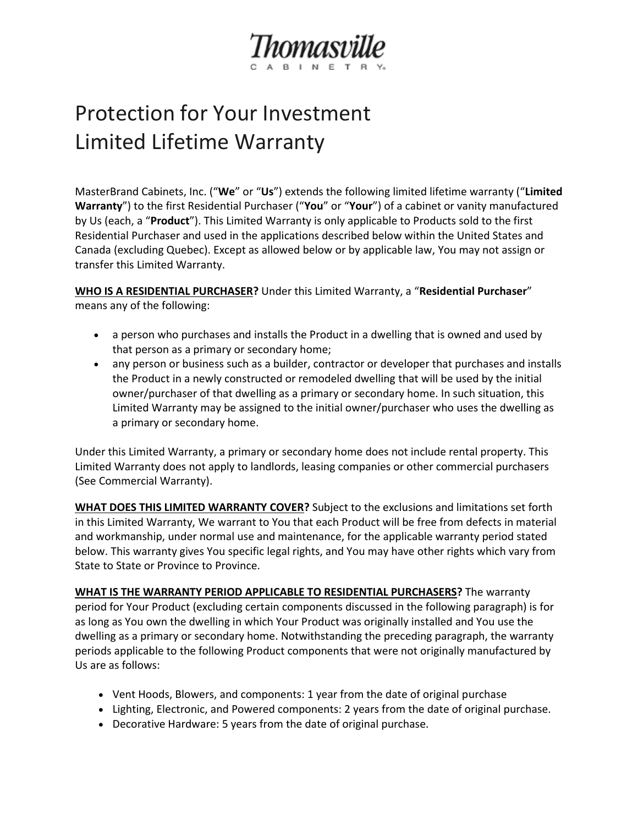

## Protection for Your Investment Limited Lifetime Warranty

MasterBrand Cabinets, Inc. ("**We**" or "**Us**") extends the following limited lifetime warranty ("**Limited Warranty**") to the first Residential Purchaser ("**You**" or "**Your**") of a cabinet or vanity manufactured by Us (each, a "**Product**"). This Limited Warranty is only applicable to Products sold to the first Residential Purchaser and used in the applications described below within the United States and Canada (excluding Quebec). Except as allowed below or by applicable law, You may not assign or transfer this Limited Warranty.

**WHO IS A RESIDENTIAL PURCHASER?** Under this Limited Warranty, a "**Residential Purchaser**" means any of the following:

- a person who purchases and installs the Product in a dwelling that is owned and used by that person as a primary or secondary home;
- any person or business such as a builder, contractor or developer that purchases and installs the Product in a newly constructed or remodeled dwelling that will be used by the initial owner/purchaser of that dwelling as a primary or secondary home. In such situation, this Limited Warranty may be assigned to the initial owner/purchaser who uses the dwelling as a primary or secondary home.

Under this Limited Warranty, a primary or secondary home does not include rental property. This Limited Warranty does not apply to landlords, leasing companies or other commercial purchasers (See [Commercial Warranty\)](http://d01.thomasvillecabinetry.com/get-started/love-your-space/warranty/commercial).

**WHAT DOES THIS LIMITED WARRANTY COVER?** Subject to the exclusions and limitations set forth in this Limited Warranty, We warrant to You that each Product will be free from defects in material and workmanship, under normal use and maintenance, for the applicable warranty period stated below. This warranty gives You specific legal rights, and You may have other rights which vary from State to State or Province to Province.

**WHAT IS THE WARRANTY PERIOD APPLICABLE TO RESIDENTIAL PURCHASERS?** The warranty period for Your Product (excluding certain components discussed in the following paragraph) is for as long as You own the dwelling in which Your Product was originally installed and You use the dwelling as a primary or secondary home. Notwithstanding the preceding paragraph, the warranty periods applicable to the following Product components that were not originally manufactured by Us are as follows:

- Vent Hoods, Blowers, and components: 1 year from the date of original purchase
- Lighting, Electronic, and Powered components: 2 years from the date of original purchase.
- Decorative Hardware: 5 years from the date of original purchase.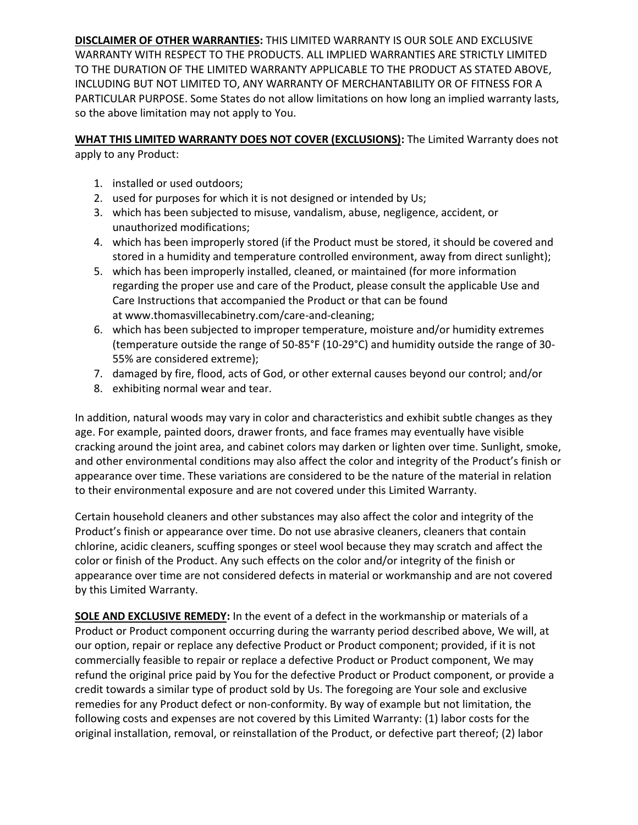**DISCLAIMER OF OTHER WARRANTIES:** THIS LIMITED WARRANTY IS OUR SOLE AND EXCLUSIVE WARRANTY WITH RESPECT TO THE PRODUCTS. ALL IMPLIED WARRANTIES ARE STRICTLY LIMITED TO THE DURATION OF THE LIMITED WARRANTY APPLICABLE TO THE PRODUCT AS STATED ABOVE, INCLUDING BUT NOT LIMITED TO, ANY WARRANTY OF MERCHANTABILITY OR OF FITNESS FOR A PARTICULAR PURPOSE. Some States do not allow limitations on how long an implied warranty lasts, so the above limitation may not apply to You.

**WHAT THIS LIMITED WARRANTY DOES NOT COVER (EXCLUSIONS):** The Limited Warranty does not apply to any Product:

- 1. installed or used outdoors;
- 2. used for purposes for which it is not designed or intended by Us;
- 3. which has been subjected to misuse, vandalism, abuse, negligence, accident, or unauthorized modifications;
- 4. which has been improperly stored (if the Product must be stored, it should be covered and stored in a humidity and temperature controlled environment, away from direct sunlight);
- 5. which has been improperly installed, cleaned, or maintained (for more information regarding the proper use and care of the Product, please consult the applicable Use and Care Instructions that accompanied the Product or that can be found at [www.thomasvillecabinetry.com/care-and-cleaning;](http://d01.thomasvillecabinetry.com/get-started/love-your-space/care-and-cleaning)
- 6. which has been subjected to improper temperature, moisture and/or humidity extremes (temperature outside the range of 50-85°F (10-29°C) and humidity outside the range of 30- 55% are considered extreme);
- 7. damaged by fire, flood, acts of God, or other external causes beyond our control; and/or
- 8. exhibiting normal wear and tear.

In addition, natural woods may vary in color and characteristics and exhibit subtle changes as they age. For example, painted doors, drawer fronts, and face frames may eventually have visible cracking around the joint area, and cabinet colors may darken or lighten over time. Sunlight, smoke, and other environmental conditions may also affect the color and integrity of the Product's finish or appearance over time. These variations are considered to be the nature of the material in relation to their environmental exposure and are not covered under this Limited Warranty.

Certain household cleaners and other substances may also affect the color and integrity of the Product's finish or appearance over time. Do not use abrasive cleaners, cleaners that contain chlorine, acidic cleaners, scuffing sponges or steel wool because they may scratch and affect the color or finish of the Product. Any such effects on the color and/or integrity of the finish or appearance over time are not considered defects in material or workmanship and are not covered by this Limited Warranty.

**SOLE AND EXCLUSIVE REMEDY:** In the event of a defect in the workmanship or materials of a Product or Product component occurring during the warranty period described above, We will, at our option, repair or replace any defective Product or Product component; provided, if it is not commercially feasible to repair or replace a defective Product or Product component, We may refund the original price paid by You for the defective Product or Product component, or provide a credit towards a similar type of product sold by Us. The foregoing are Your sole and exclusive remedies for any Product defect or non-conformity. By way of example but not limitation, the following costs and expenses are not covered by this Limited Warranty: (1) labor costs for the original installation, removal, or reinstallation of the Product, or defective part thereof; (2) labor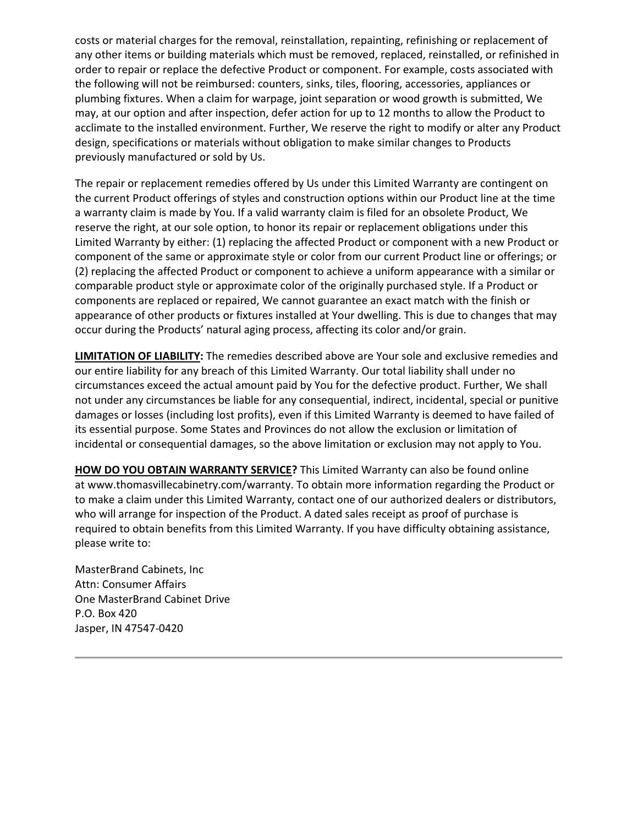costs or material charges for the removal, reinstallation, repainting, refinishing or replacement of any other items or building materials which must be removed, replaced, reinstalled, or refinished in order to repair or replace the defective Product or component. For example, costs associated with the following will not be reimbursed: counters, sinks, tiles, flooring, accessories, appliances or plumbing fixtures. When a claim for warpage, joint separation or wood growth is submitted, We may, at our option and after inspection, defer action for up to 12 months to allow the Product to acclimate to the installed environment. Further, We reserve the right to modify or alter any Product design, specifications or materials without obligation to make similar changes to Products previously manufactured or sold by Us.

The repair or replacement remedies offered by Us under this Limited Warranty are contingent on the current Product offerings of styles and construction options within our Product line at the time a warranty claim is made by You. If a valid warranty claim is filed for an obsolete Product, We reserve the right, at our sole option, to honor its repair or replacement obligations under this Limited Warranty by either: (1) replacing the affected Product or component with a new Product or component of the same or approximate style or color from our current Product line or offerings; or (2) replacing the affected Product or component to achieve a uniform appearance with a similar or comparable product style or approximate color of the originally purchased style. If a Product or components are replaced or repaired, We cannot guarantee an exact match with the finish or appearance of other products or fixtures installed at Your dwelling. This is due to changes that may occur during the Products' natural aging process, affecting its color and/or grain.

**LIMITATION OF LIABILITY:** The remedies described above are Your sole and exclusive remedies and our entire liability for any breach of this Limited Warranty. Our total liability shall under no circumstances exceed the actual amount paid by You for the defective product. Further, We shall not under any circumstances be liable for any consequential, indirect, incidental, special or punitive damages or losses (including lost profits), even if this Limited Warranty is deemed to have failed of its essential purpose. Some States and Provinces do not allow the exclusion or limitation of incidental or consequential damages, so the above limitation or exclusion may not apply to You.

**HOW DO YOU OBTAIN WARRANTY SERVICE?** This Limited Warranty can also be found online at [www.thomasvillecabinetry.com/warranty.](http://d01.thomasvillecabinetry.com/get-started/love-your-space/warranty) To obtain more information regarding the Product or to make a claim under this Limited Warranty, contact one of our authorized dealers or distributors, who will arrange for inspection of the Product. A dated sales receipt as proof of purchase is required to obtain benefits from this Limited Warranty. If you have difficulty obtaining assistance, please write to:

MasterBrand Cabinets, Inc Attn: Consumer Affairs One MasterBrand Cabinet Drive P.O. Box 420 Jasper, IN 47547-0420